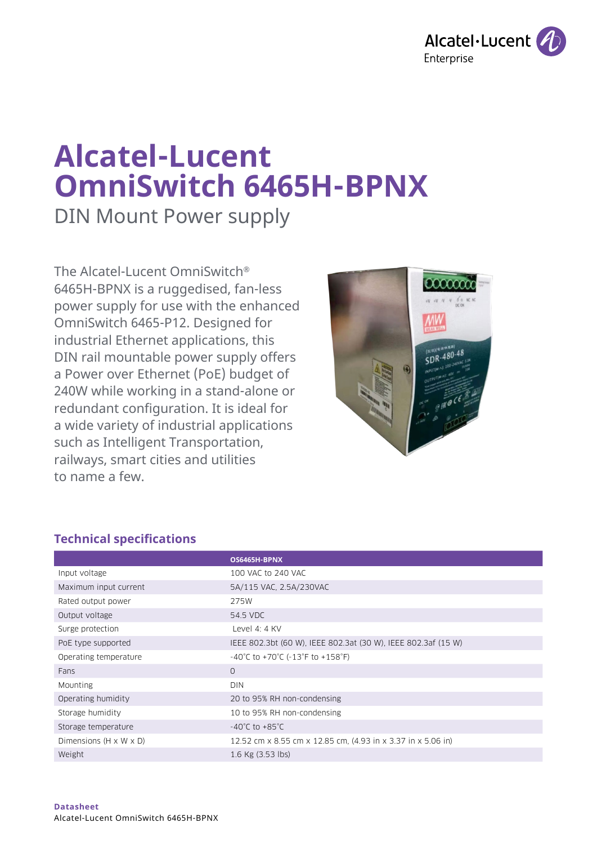

# **Alcatel-Lucent OmniSwitch 6465H-BPNX**

DIN Mount Power supply

The Alcatel-Lucent OmniSwitch® 6465H-BPNX is a ruggedised, fan-less power supply for use with the enhanced OmniSwitch 6465-P12. Designed for industrial Ethernet applications, this DIN rail mountable power supply offers a Power over Ethernet (PoE) budget of 240W while working in a stand-alone or redundant configuration. It is ideal for a wide variety of industrial applications such as Intelligent Transportation, railways, smart cities and utilities to name a few.



# **Technical specifications**

|                                    | OS6465H-BPNX                                                              |
|------------------------------------|---------------------------------------------------------------------------|
| Input voltage                      | 100 VAC to 240 VAC                                                        |
| Maximum input current              | 5A/115 VAC, 2.5A/230VAC                                                   |
| Rated output power                 | 275W                                                                      |
| Output voltage                     | 54.5 VDC                                                                  |
| Surge protection                   | Level 4: $4$ KV                                                           |
| PoE type supported                 | IEEE 802.3bt (60 W), IEEE 802.3at (30 W), IEEE 802.3af (15 W)             |
| Operating temperature              | $-40^{\circ}$ C to $+70^{\circ}$ C ( $-13^{\circ}$ F to $+158^{\circ}$ F) |
| Fans                               | $\Omega$                                                                  |
| Mounting                           | <b>DIN</b>                                                                |
| Operating humidity                 | 20 to 95% RH non-condensing                                               |
| Storage humidity                   | 10 to 95% RH non-condensing                                               |
| Storage temperature                | $-40^{\circ}$ C to $+85^{\circ}$ C                                        |
| Dimensions $(H \times W \times D)$ | 12.52 cm x 8.55 cm x 12.85 cm, (4.93 in x 3.37 in x 5.06 in)              |
| Weight                             | 1.6 Kg (3.53 lbs)                                                         |